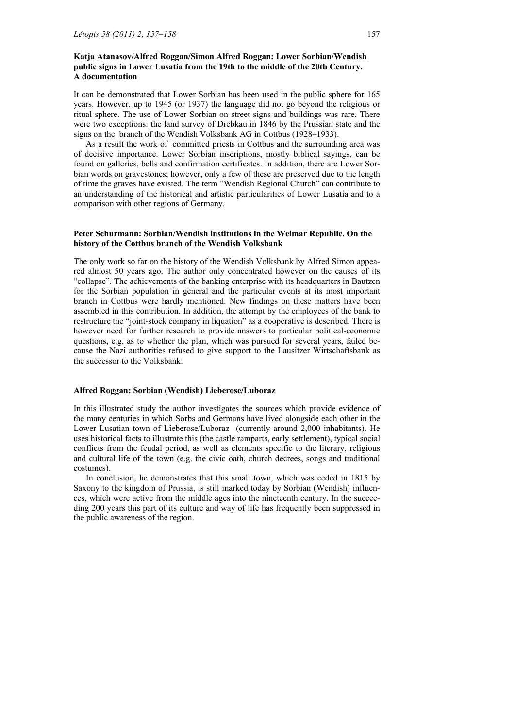# **Katja Atanasov/Alfred Roggan/Simon Alfred Roggan: Lower Sorbian/Wendish public signs in Lower Lusatia from the 19th to the middle of the 20th Century. A documentation**

It can be demonstrated that Lower Sorbian has been used in the public sphere for 165 years. However, up to 1945 (or 1937) the language did not go beyond the religious or ritual sphere. The use of Lower Sorbian on street signs and buildings was rare. There were two exceptions: the land survey of Drebkau in 1846 by the Prussian state and the signs on the branch of the Wendish Volksbank AG in Cottbus (1928–1933).

 As a result the work of committed priests in Cottbus and the surrounding area was of decisive importance. Lower Sorbian inscriptions, mostly biblical sayings, can be found on galleries, bells and confirmation certificates. In addition, there are Lower Sorbian words on gravestones; however, only a few of these are preserved due to the length of time the graves have existed. The term "Wendish Regional Church" can contribute to an understanding of the historical and artistic particularities of Lower Lusatia and to a comparison with other regions of Germany.

# **Peter Schurmann: Sorbian/Wendish institutions in the Weimar Republic. On the history of the Cottbus branch of the Wendish Volksbank**

The only work so far on the history of the Wendish Volksbank by Alfred Simon appeared almost 50 years ago. The author only concentrated however on the causes of its "collapse". The achievements of the banking enterprise with its headquarters in Bautzen for the Sorbian population in general and the particular events at its most important branch in Cottbus were hardly mentioned. New findings on these matters have been assembled in this contribution. In addition, the attempt by the employees of the bank to restructure the "joint-stock company in liquation" as a cooperative is described. There is however need for further research to provide answers to particular political-economic questions, e.g. as to whether the plan, which was pursued for several years, failed because the Nazi authorities refused to give support to the Lausitzer Wirtschaftsbank as the successor to the Volksbank.

#### **Alfred Roggan: Sorbian (Wendish) Lieberose/Luboraz**

In this illustrated study the author investigates the sources which provide evidence of the many centuries in which Sorbs and Germans have lived alongside each other in the Lower Lusatian town of Lieberose/Luboraz (currently around 2,000 inhabitants). He uses historical facts to illustrate this (the castle ramparts, early settlement), typical social conflicts from the feudal period, as well as elements specific to the literary, religious and cultural life of the town (e.g. the civic oath, church decrees, songs and traditional costumes).

 In conclusion, he demonstrates that this small town, which was ceded in 1815 by Saxony to the kingdom of Prussia, is still marked today by Sorbian (Wendish) influences, which were active from the middle ages into the nineteenth century. In the succeeding 200 years this part of its culture and way of life has frequently been suppressed in the public awareness of the region.